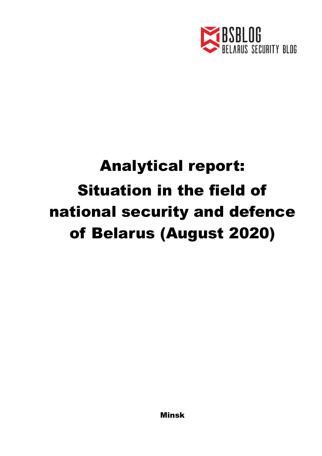

## Analytical report: Situation in the field of national security and defence of Belarus (August 2020)

Minsk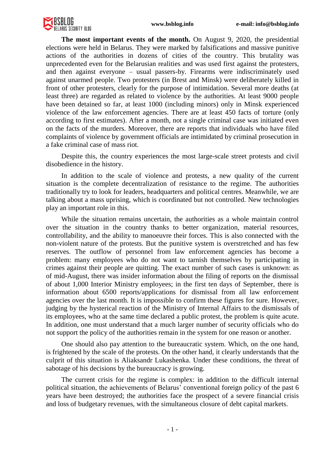

**The most important events of the month.** On August 9, 2020, the presidential elections were held in Belarus. They were marked by falsifications and massive punitive actions of the authorities in dozens of cities of the country. This brutality was unprecedented even for the Belarusian realities and was used first against the protesters, and then against everyone – usual passers-by. Firearms were indiscriminately used against unarmed people. Two protesters (in Brest and Minsk) were deliberately killed in front of other protesters, clearly for the purpose of intimidation. Several more deaths (at least three) are regarded as related to violence by the authorities. At least 9000 people have been detained so far, at least 1000 (including minors) only in Minsk experienced violence of the law enforcement agencies. There are at least 450 facts of torture (only according to first estimates). After a month, not a single criminal case was initiated even on the facts of the murders. Moreover, there are reports that individuals who have filed complaints of violence by government officials are intimidated by criminal prosecution in a fake criminal case of mass riot.

Despite this, the country experiences the most large-scale street protests and civil disobedience in the history.

In addition to the scale of violence and protests, a new quality of the current situation is the complete decentralization of resistance to the regime. The authorities traditionally try to look for leaders, headquarters and political centres. Meanwhile, we are talking about a mass uprising, which is coordinated but not controlled. New technologies play an important role in this.

While the situation remains uncertain, the authorities as a whole maintain control over the situation in the country thanks to better organization, material resources, controllability, and the ability to manoeuvre their forces. This is also connected with the non-violent nature of the protests. But the punitive system is overstretched and has few reserves. The outflow of personnel from law enforcement agencies has become a problem: many employees who do not want to tarnish themselves by participating in crimes against their people are quitting. The exact number of such cases is unknown: as of mid-August, there was insider information about the filing of reports on the dismissal of about 1,000 Interior Ministry employees; in the first ten days of September, there is information about 6500 reports/applications for dismissal from all law enforcement agencies over the last month. It is impossible to confirm these figures for sure. However, judging by the hysterical reaction of the Ministry of Internal Affairs to the dismissals of its employees, who at the same time declared a public protest, the problem is quite acute. In addition, one must understand that a much larger number of security officials who do not support the policy of the authorities remain in the system for one reason or another.

One should also pay attention to the bureaucratic system. Which, on the one hand, is frightened by the scale of the protests. On the other hand, it clearly understands that the culprit of this situation is Aliaksandr Lukashenka. Under these conditions, the threat of sabotage of his decisions by the bureaucracy is growing.

The current crisis for the regime is complex: in addition to the difficult internal political situation, the achievements of Belarus' conventional foreign policy of the past 6 years have been destroyed; the authorities face the prospect of a severe financial crisis and loss of budgetary revenues, with the simultaneous closure of debt capital markets.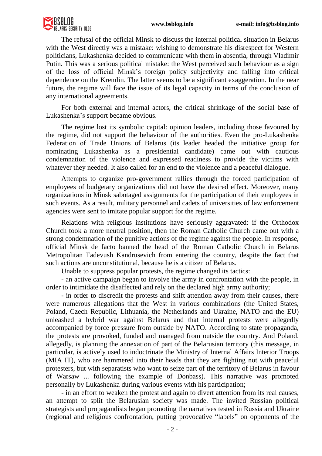

The refusal of the official Minsk to discuss the internal political situation in Belarus with the West directly was a mistake: wishing to demonstrate his disrespect for Western politicians, Lukashenka decided to communicate with them in absentia, through Vladimir Putin. This was a serious political mistake: the West perceived such behaviour as a sign of the loss of official Minsk's foreign policy subjectivity and falling into critical dependence on the Kremlin. The latter seems to be a significant exaggeration. In the near future, the regime will face the issue of its legal capacity in terms of the conclusion of any international agreements.

For both external and internal actors, the critical shrinkage of the social base of Lukashenka's support became obvious.

The regime lost its symbolic capital: opinion leaders, including those favoured by the regime, did not support the behaviour of the authorities. Even the pro-Lukashenka Federation of Trade Unions of Belarus (its leader headed the initiative group for nominating Lukashenka as a presidential candidate) came out with cautious condemnation of the violence and expressed readiness to provide the victims with whatever they needed. It also called for an end to the violence and a peaceful dialogue.

Attempts to organize pro-government rallies through the forced participation of employees of budgetary organizations did not have the desired effect. Moreover, many organizations in Minsk sabotaged assignments for the participation of their employees in such events. As a result, military personnel and cadets of universities of law enforcement agencies were sent to imitate popular support for the regime.

Relations with religious institutions have seriously aggravated: if the Orthodox Church took a more neutral position, then the Roman Catholic Church came out with a strong condemnation of the punitive actions of the regime against the people. In response, official Minsk de facto banned the head of the Roman Catholic Church in Belarus Metropolitan Tadevush Kandrusevich from entering the country, despite the fact that such actions are unconstitutional, because he is a citizen of Belarus.

Unable to suppress popular protests, the regime changed its tactics:

- an active campaign began to involve the army in confrontation with the people, in order to intimidate the disaffected and rely on the declared high army authority;

- in order to discredit the protests and shift attention away from their causes, there were numerous allegations that the West in various combinations (the United States, Poland, Czech Republic, Lithuania, the Netherlands and Ukraine, NATO and the EU) unleashed a hybrid war against Belarus and that internal protests were allegedly accompanied by force pressure from outside by NATO. According to state propaganda, the protests are provoked, funded and managed from outside the country. And Poland, allegedly, is planning the annexation of part of the Belarusian territory (this message, in particular, is actively used to indoctrinate the Ministry of Internal Affairs Interior Troops (MIA IT), who are hammered into their heads that they are fighting not with peaceful protesters, but with separatists who want to seize part of the territory of Belarus in favour of Warsaw ... following the example of Donbass). This narrative was promoted personally by Lukashenka during various events with his participation;

- in an effort to weaken the protest and again to divert attention from its real causes, an attempt to split the Belarusian society was made. The invited Russian political strategists and propagandists began promoting the narratives tested in Russia and Ukraine (regional and religious confrontation, putting provocative "labels" on opponents of the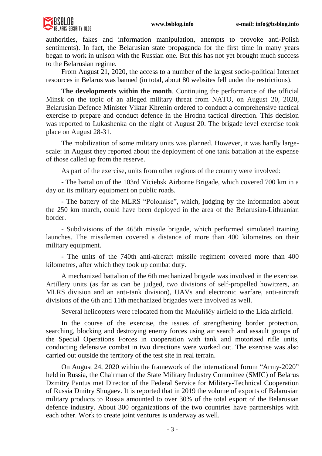

authorities, fakes and information manipulation, attempts to provoke anti-Polish sentiments). In fact, the Belarusian state propaganda for the first time in many years began to work in unison with the Russian one. But this has not yet brought much success to the Belarusian regime.

From August 21, 2020, the access to a number of the largest socio-political Internet resources in Belarus was banned (in total, about 80 websites fell under the restrictions).

**The developments within the month**. Continuing the performance of the official Minsk on the topic of an alleged military threat from NATO, on August 20, 2020, Belarusian Defence Minister Viktar Khrenin ordered to conduct a comprehensive tactical exercise to prepare and conduct defence in the Hrodna tactical direction. This decision was reported to Lukashenka on the night of August 20. The brigade level exercise took place on August 28-31.

The mobilization of some military units was planned. However, it was hardly largescale: in August they reported about the deployment of one tank battalion at the expense of those called up from the reserve.

As part of the exercise, units from other regions of the country were involved:

- The battalion of the 103rd Viciebsk Airborne Brigade, which covered 700 km in a day on its military equipment on public roads.

- The battery of the MLRS "Polonaise", which, judging by the information about the 250 km march, could have been deployed in the area of the Belarusian-Lithuanian border.

- Subdivisions of the 465th missile brigade, which performed simulated training launches. The missilemen covered a distance of more than 400 kilometres on their military equipment.

- The units of the 740th anti-aircraft missile regiment covered more than 400 kilometres, after which they took up combat duty.

A mechanized battalion of the 6th mechanized brigade was involved in the exercise. Artillery units (as far as can be judged, two divisions of self-propelled howitzers, an MLRS division and an anti-tank division), UAVs and electronic warfare, anti-aircraft divisions of the 6th and 11th mechanized brigades were involved as well.

Several helicopters were relocated from the Mačuliščy airfield to the Lida airfield.

In the course of the exercise, the issues of strengthening border protection, searching, blocking and destroying enemy forces using air search and assault groups of the Special Operations Forces in cooperation with tank and motorized rifle units, conducting defensive combat in two directions were worked out. The exercise was also carried out outside the territory of the test site in real terrain.

On August 24, 2020 within the framework of the international forum "Army-2020" held in Russia, the Chairman of the State Military Industry Committee (SMIC) of Belarus Dzmitry Pantus met Director of the Federal Service for Military-Technical Cooperation of Russia Dmitry Shugaev. It is reported that in 2019 the volume of exports of Belarusian military products to Russia amounted to over 30% of the total export of the Belarusian defence industry. About 300 organizations of the two countries have partnerships with each other. Work to create joint ventures is underway as well.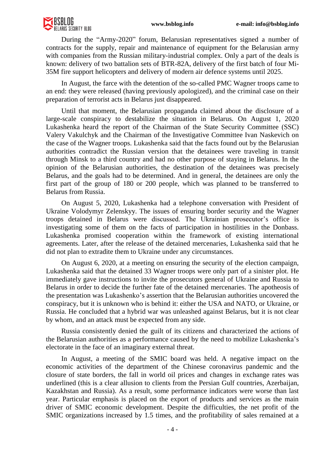

During the "Army-2020" forum, Belarusian representatives signed a number of contracts for the supply, repair and maintenance of equipment for the Belarusian army with companies from the Russian military-industrial complex. Only a part of the deals is known: delivery of two battalion sets of BTR-82A, delivery of the first batch of four Mi-35M fire support helicopters and delivery of modern air defence systems until 2025.

In August, the farce with the detention of the so-called PMC Wagner troops came to an end: they were released (having previously apologized), and the criminal case on their preparation of terrorist acts in Belarus just disappeared.

Until that moment, the Belarusian propaganda claimed about the disclosure of a large-scale conspiracy to destabilize the situation in Belarus. On August 1, 2020 Lukashenka heard the report of the Chairman of the State Security Committee (SSC) Valery Vakulchyk and the Chairman of the Investigative Committee Ivan Naskevich on the case of the Wagner troops. Lukashenka said that the facts found out by the Belarusian authorities contradict the Russian version that the detainees were traveling in transit through Minsk to a third country and had no other purpose of staying in Belarus. In the opinion of the Belarusian authorities, the destination of the detainees was precisely Belarus, and the goals had to be determined. And in general, the detainees are only the first part of the group of 180 or 200 people, which was planned to be transferred to Belarus from Russia.

On August 5, 2020, Lukashenka had a telephone conversation with President of Ukraine Volodymyr Zelenskyy. The issues of ensuring border security and the Wagner troops detained in Belarus were discussed. The Ukrainian prosecutor's office is investigating some of them on the facts of participation in hostilities in the Donbass. Lukashenka promised cooperation within the framework of existing international agreements. Later, after the release of the detained mercenaries, Lukashenka said that he did not plan to extradite them to Ukraine under any circumstances.

On August 6, 2020, at a meeting on ensuring the security of the election campaign, Lukashenka said that the detained 33 Wagner troops were only part of a sinister plot. He immediately gave instructions to invite the prosecutors general of Ukraine and Russia to Belarus in order to decide the further fate of the detained mercenaries. The apotheosis of the presentation was Lukashenko's assertion that the Belarusian authorities uncovered the conspiracy, but it is unknown who is behind it: either the USA and NATO, or Ukraine, or Russia. He concluded that a hybrid war was unleashed against Belarus, but it is not clear by whom, and an attack must be expected from any side.

Russia consistently denied the guilt of its citizens and characterized the actions of the Belarusian authorities as a performance caused by the need to mobilize Lukashenka's electorate in the face of an imaginary external threat.

In August, a meeting of the SMIC board was held. A negative impact on the economic activities of the department of the Chinese coronavirus pandemic and the closure of state borders, the fall in world oil prices and changes in exchange rates was underlined (this is a clear allusion to clients from the Persian Gulf countries, Azerbaijan, Kazakhstan and Russia). As a result, some performance indicators were worse than last year. Particular emphasis is placed on the export of products and services as the main driver of SMIC economic development. Despite the difficulties, the net profit of the SMIC organizations increased by 1.5 times, and the profitability of sales remained at a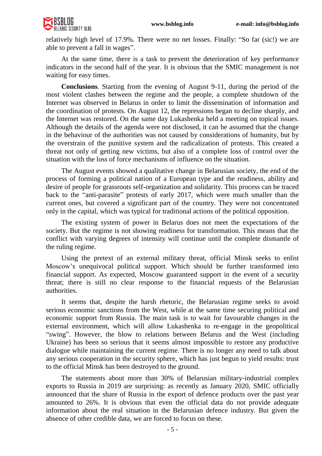

relatively high level of 17.9%. There were no net losses. Finally: "So far (sic!) we are able to prevent a fall in wages".

At the same time, there is a task to prevent the deterioration of key performance indicators in the second half of the year. It is obvious that the SMIC management is not waiting for easy times.

**Conclusions**. Starting from the evening of August 9-11, during the period of the most violent clashes between the regime and the people, a complete shutdown of the Internet was observed in Belarus in order to limit the dissemination of information and the coordination of protests. On August 12, the repressions began to decline sharply, and the Internet was restored. On the same day Lukashenka held a meeting on topical issues. Although the details of the agenda were not disclosed, it can be assumed that the change in the behaviour of the authorities was not caused by considerations of humanity, but by the overstrain of the punitive system and the radicalization of protests. This created a threat not only of getting new victims, but also of a complete loss of control over the situation with the loss of force mechanisms of influence on the situation.

The August events showed a qualitative change in Belarusian society, the end of the process of forming a political nation of a European type and the readiness, ability and desire of people for grassroots self-organization and solidarity. This process can be traced back to the "anti-parasite" protests of early 2017, which were much smaller than the current ones, but covered a significant part of the country. They were not concentrated only in the capital, which was typical for traditional actions of the political opposition.

The existing system of power in Belarus does not meet the expectations of the society. But the regime is not showing readiness for transformation. This means that the conflict with varying degrees of intensity will continue until the complete dismantle of the ruling regime.

Using the pretext of an external military threat, official Minsk seeks to enlist Moscow's unequivocal political support. Which should be further transformed into financial support. As expected, Moscow guaranteed support in the event of a security threat; there is still no clear response to the financial requests of the Belarusian authorities.

It seems that, despite the harsh rhetoric, the Belarusian regime seeks to avoid serious economic sanctions from the West, while at the same time securing political and economic support from Russia. The main task is to wait for favourable changes in the external environment, which will allow Lukashenka to re-engage in the geopolitical "swing". However, the blow to relations between Belarus and the West (including Ukraine) has been so serious that it seems almost impossible to restore any productive dialogue while maintaining the current regime. There is no longer any need to talk about any serious cooperation in the security sphere, which has just begun to yield results: trust to the official Minsk has been destroyed to the ground.

The statements about more than 30% of Belarusian military-industrial complex exports to Russia in 2019 are surprising: as recently as January 2020, SMIC officially announced that the share of Russia in the export of defence products over the past year amounted to 26%. It is obvious that even the official data do not provide adequate information about the real situation in the Belarusian defence industry. But given the absence of other credible data, we are forced to focus on these.